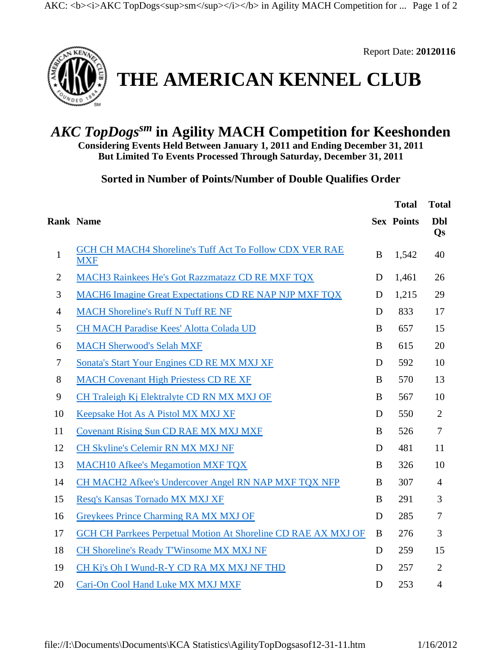

Report Date: **20120116**

## **THE AMERICAN KENNEL CLUB**

## *AKC TopDogssm* **in Agility MACH Competition for Keeshonden**

**Considering Events Held Between January 1, 2011 and Ending December 31, 2011 But Limited To Events Processed Through Saturday, December 31, 2011**

**Sorted in Number of Points/Number of Double Qualifies Order** 

|                |                                                                              |   | <b>Total</b>      | <b>Total</b>     |
|----------------|------------------------------------------------------------------------------|---|-------------------|------------------|
|                | <b>Rank Name</b>                                                             |   | <b>Sex Points</b> | <b>Dbl</b><br>Qs |
| $\mathbf{1}$   | <b>GCH CH MACH4 Shoreline's Tuff Act To Follow CDX VER RAE</b><br><b>MXF</b> | B | 1,542             | 40               |
| $\mathbf{2}$   | MACH3 Rainkees He's Got Razzmatazz CD RE MXF TQX                             | D | 1,461             | 26               |
| 3              | <b>MACH6 Imagine Great Expectations CD RE NAP NJP MXF TQX</b>                | D | 1,215             | 29               |
| $\overline{4}$ | <b>MACH Shoreline's Ruff N Tuff RE NF</b>                                    | D | 833               | 17               |
| 5              | <b>CH MACH Paradise Kees' Alotta Colada UD</b>                               | B | 657               | 15               |
| 6              | <b>MACH Sherwood's Selah MXF</b>                                             | B | 615               | 20               |
| $\tau$         | Sonata's Start Your Engines CD RE MX MXJ XF                                  | D | 592               | 10               |
| 8              | <b>MACH Covenant High Priestess CD RE XF</b>                                 | B | 570               | 13               |
| 9              | CH Traleigh Kj Elektralyte CD RN MX MXJ OF                                   | B | 567               | 10               |
| 10             | Keepsake Hot As A Pistol MX MXJ XF                                           | D | 550               | $\overline{2}$   |
| 11             | <b>Covenant Rising Sun CD RAE MX MXJ MXF</b>                                 | B | 526               | $\tau$           |
| 12             | CH Skyline's Celemir RN MX MXJ NF                                            | D | 481               | 11               |
| 13             | <b>MACH10 Afkee's Megamotion MXF TQX</b>                                     | B | 326               | 10               |
| 14             | CH MACH2 Afkee's Undercover Angel RN NAP MXF TQX NFP                         | B | 307               | $\overline{4}$   |
| 15             | Resq's Kansas Tornado MX MXJ XF                                              | B | 291               | 3                |
| 16             | Greykees Prince Charming RA MX MXJ OF                                        | D | 285               | $\overline{7}$   |
| 17             | <b>GCH CH Parrkees Perpetual Motion At Shoreline CD RAE AX MXJ OF</b>        | B | 276               | 3                |
| 18             | CH Shoreline's Ready T'Winsome MX MXJ NF                                     | D | 259               | 15               |
| 19             | CH Kj's Oh I Wund-R-Y CD RA MX MXJ NF THD                                    | D | 257               | $\overline{2}$   |
| 20             | Cari-On Cool Hand Luke MX MXJ MXF                                            | D | 253               | $\overline{4}$   |